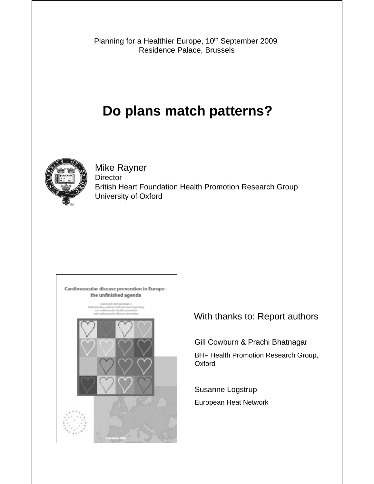Planning for a Healthier Europe, 10<sup>th</sup> September 2009 Residence Pa lace, Brussels

### **Do plans match patterns?**



Mike Rayner **Director** British Heart Foundation Health Promotion Research Group University of Oxford

Cardiovascular disease prevention in Europe the unfinished agenda



#### With thanks to: Report authors

Gill Cowburn & Prachi Bhatnagar BHF Health Promotion Research Group, **Oxford** 

Susanne Logstrup European Heat Network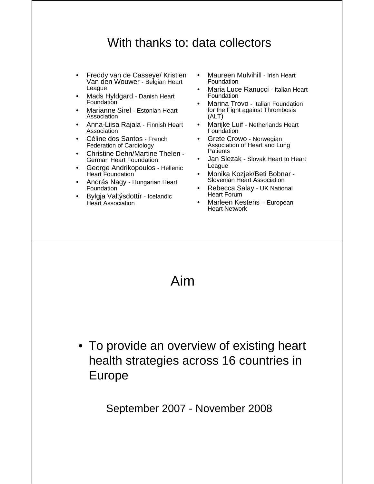#### With thanks to: data collectors

- Freddy van de Casseye/ Kristien Van den Wouwer - Belgian Heart League
- Mads Hyldgard Danish Heart **Foundation**
- Marianne Sirel Estonian Heart Association
- Anna-Liisa Rajala Finnish Heart Association
- Céline dos Santos French Federation of Cardiology
- Christine Dehn/Martine Thelen German Heart Foundation
- George Andrikopoulos Hellenic Heart Foundation
- András Nagy Hungarian Heart Foundation
- Bylgja Valtýsdottír Icelandic Heart Association
- $\bullet$  Maureen Mulvihill Irish Heart **Foundation**
- Maria Luce Ranucci Italian Heart Foundation
- Marina Trovo Italian Foundation for the Fight against Thrombosis (ALT)
- Marijke Luif Netherlands Heart **Foundation**
- Grete Crowo Norwegian Association of Heart and Lung **Patients**
- Jan Slezak Slovak Heart to Heart League
- Monika Kozjek/Beti Bobnar Slovenian Heart Association
- Rebecca Salay UK National Heart Forum
- Marleen Kestens European Heart Network

### Aim

Aim<br>• To provide an overview of existing heart health strategies across 16 countries in Europe

September 2007 - November 2008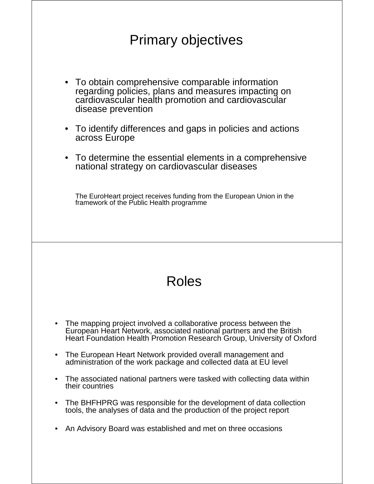## Primary objectives

- To obtain comprehensive comparable information regarding policies, plans an cardiovascular health promo disease prevention nd measures impacting on otion and cardiovascular
- To identify differences and g gaps in policies and actions across Europe
- To determine the essential elements in a comprehensive national strategy on cardiovascular diseases

The EuroHeart project receives funding from the European Union in the framework of the Public Health programme

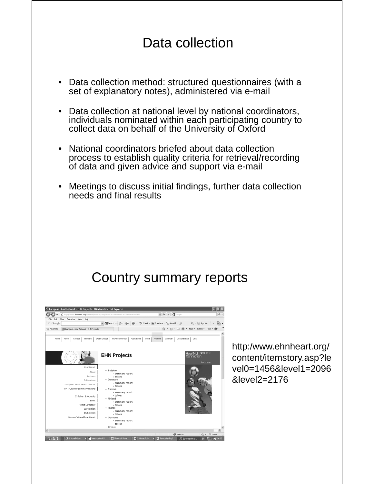## Data collection

- Data collection method: structured questionnaires (with a set of explanatory notes), adm ministered via e-mail
- Data collection at national level by national coordinators, individuals nominated within each participating country to collect data on behalf of the U University of Oxford
- National coordinators briefed about data collection process to establish quality c riteria for retrieval/recording of data and given advice and support via e-mail
- Meetings to discuss initial findings, further data collection needs and final results

### Country summary reports

|                                                           | → http://www.ehnheart.org/content/itemstory.asp?level0=14566level1=20966level2=2176 | $\vee$ 4 $\times$ 4 $\circ$                              | $\rho$ .     |
|-----------------------------------------------------------|-------------------------------------------------------------------------------------|----------------------------------------------------------|--------------|
| Favorites Tools Help<br>View<br>Edit<br>x Google          | → N Search → d) → dje → 図 → サ Check → 画 Translate → 日 AutoFil + △                   | $\mathfrak{A}$ + $\Box$ Sign In +                        |              |
|                                                           |                                                                                     |                                                          |              |
| <b>Favorites</b><br>European Heart Network - EHN Projects |                                                                                     | ☆ · 同 · □ 曲 · Page · Safety · Tools · @ ·                |              |
| Home<br>About<br>Contact<br>Members                       | <b>Expert Groups</b><br><b>MEP Heart Group</b><br>Publications                      | Media<br>CVD Statistics<br>Projects<br>Calendar<br>Links |              |
|                                                           | <b>EHN Projects</b>                                                                 | HeartNet ***<br>Connection                               | Log in here. |
| EuroHeart<br>About<br>Partners                            | · Belgium<br>· summary report<br>· tables                                           |                                                          |              |
| Publications<br>European Heart Health Charter             | · Denmark<br>· summary report<br>- tables                                           |                                                          |              |
| WP 5 Country summary reports                              | · Estonia<br>- summary report<br>- tables                                           |                                                          |              |
| Children & Obesity<br>EHHT                                | · Finland<br>· summary report                                                       |                                                          |              |
| <b>Heart Directory</b>                                    | - tables<br>· France                                                                |                                                          |              |
| Euroaction<br><b>EUROCISS</b>                             | · summary report                                                                    |                                                          |              |
| Women's Health at Heart                                   | - tables<br>· Germany                                                               |                                                          |              |
|                                                           | · summary report<br>· tables                                                        |                                                          |              |
|                                                           | $-$ Greece                                                                          |                                                          |              |

http:/www.ehnheart.org/ content/itemstory.asp?le vel0=1456&level1=2096  $&\text{level2} = 2176$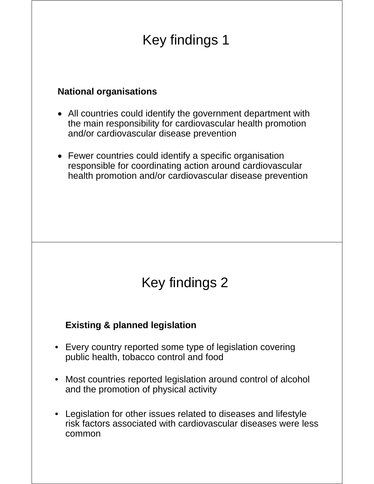## Key find dings 1

#### **National organisations**

- All countries could identify the government department with the main responsibility for cardiovascular health promotion and/or cardiovascular disease prevention
- Fewer countries could identify a specific organisation responsible for coordinating action around cardiovascular health promotion and/or cardiovascular disease prevention

## Key find dings 2

#### **Existing & planned legislatio on**

- Every country reported some type of legislation covering public health, tobacco control and food
- Most countries reported legislation around control of alcohol and the promotion of physical activity
- Legislation for other issues related to diseases and lifestyle risk factors associated with cardiovascular diseases were less common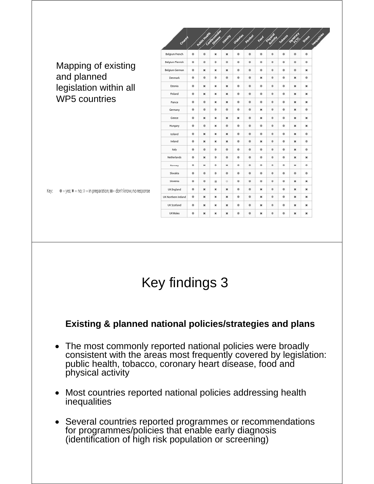#### Mapping of existing and planned legislation within all WP5 countries

| Country             |   |                | Edit Health degrees       | Obesica | Diabetes | Atend     | Frank          | Pington | Tobacco | Selection | Stress<br>Imea      |
|---------------------|---|----------------|---------------------------|---------|----------|-----------|----------------|---------|---------|-----------|---------------------|
|                     |   |                |                           |         |          |           |                |         |         |           |                     |
| Belgium French      | ۰ | ۰              | $\mathbf{x}$              | ×       | ۰        | $\bullet$ | ۰              | ۰       | ۰       | ۰         | ۰                   |
| Belgium Flemish     | ø | ÷              | ۰                         | ۰       | ō        | ÷         | ۰              | ۰       | ۰       | ó         | ۰                   |
| Belgium German      | e | $\mathbf x$    | ×                         | ×       | ۰        | ۰         | ۰              | ۰       | ۰       | ۰         | $\mathbf{x}$        |
| Denmark             | ۰ | ø              | 0                         | ۰       | ۰        | $\circ$   | ×              | ۰       | ۰       | ×         | ۰                   |
| Estonia             | ۰ | ×              | ×                         | ×       | ۰        | ۰         | ۰              | ۰       | ۰       | ×         | ×                   |
| Finland             | ۰ | ×              | ×                         | ×       | ٥        | ۰         | ۰              | ۰       | ۰       | ×         | ×                   |
| France              | ø | ۰              | $\boldsymbol{\times}$     | ×       | ۰        | e         | ۰              | e       | ۰       | ×         | $\mathbf x$         |
| Germany             | ۰ | ۰              | ۰                         | ۰       | ۰        | ø         | ×              | ۰       | ۰       | ×         | ø                   |
| Greece              | ۰ | ×              | ×                         | ×       | ×        | ۰         | ×              | ۰       | ۰       | ×         | $\pmb{\times}$      |
| Hungary             | ۰ | $^{\circ}$     | ×                         | ۰       | ۰        | ۰         | ۰              | ۰       | ۰       | ×         | $\mathbf{x}$        |
| Iceland             | ۰ | ×              | $\boldsymbol{\mathsf{x}}$ | ×       | ۰        | ۰         | ۰              | ۰       | ۰       | ×         | ۰                   |
| Ireland             | ۰ | ×              | ×                         | ×       | ۰        | e         | ×              | $\circ$ | ۰       | ×         | $\circ$             |
| Italy               | ۰ | ۰              | ۰                         | ۰       | ۰        | e         | ۰              | ۰       | ÷       | ×         | ۰                   |
| Netherlands         | ۰ | $\pmb{\times}$ | ۰                         | ۰       | ۰        | ۰         | ۰              | ۰       | ۰       | ×         | ×                   |
| Norway              | ۰ | ×              | ۰                         | ×       | ۰        | ۰         | ۰              | ۰       | ۰       | ×         | ۰                   |
| Slovakia            | ۰ | ۰              | ÷                         | ۰       | ۰        | ø         | e              | ۰       | ۰       | ۰         | ۰                   |
| Slovenia            | ۰ | ۰              | ш                         | O       | ۰        | o         | ۰              | ۰       | ۰       | ×         | $\pmb{\times}$      |
| UK England          | ۰ | $\pmb{\times}$ | ×                         | ×       | ۰        | ۰         | ×              | ۰       | ۰       | ×         | $\mathbf x$         |
| UK Northern Ireland | ۰ | ×              | ×                         | ×       | ۰        | ÷         | $\pmb{\times}$ | $\circ$ | ۰       | ×         | $\mathbf x$         |
| UK Scotland         | ۰ | ×              | ×                         | ×       | ۰        | ۰         | ×              | ۰       | ۰       | ×         | $\mathbf x$         |
| UK Wales            | ۰ | ×              | ×                         | ×       | ۰        | ø         | ×              | ۰       | ۰       | ×         | $\boldsymbol{\ast}$ |

Key:  $\qquad \bullet = \text{yes}; \star = \text{no}; 0 = \text{in preparation}; \blacksquare = \text{don't know, no response}$ 

## Key find dings 3

#### **Existing & planned national policies/strategies and plans**

- The most commonly reported national policies were broadly consistent with the areas mos t frequently covered by legislation: public health, tobacco, coronary heart disease, food and physical activity
- Most countries reported national policies addressing health inequalities
- Several countries reported programmes or recommendations for programmes/policies that enable early diagnosis (identification of high risk population or screening)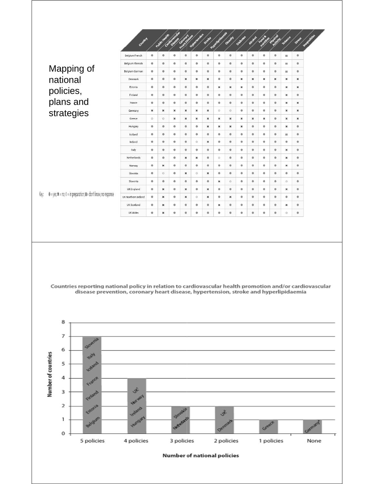|                                                                                                                                               | Country             |                        | Public Health          |                        |                        | Esta processes de la distribución | Stroke                 | Lynosity describe   | Obesity                 | Olaberes       | Arcation               |                     |                        | Food was employed ranged         | Syless              | Inequalities |
|-----------------------------------------------------------------------------------------------------------------------------------------------|---------------------|------------------------|------------------------|------------------------|------------------------|-----------------------------------|------------------------|---------------------|-------------------------|----------------|------------------------|---------------------|------------------------|----------------------------------|---------------------|--------------|
|                                                                                                                                               | Belgium French      | $\bullet$              | $\bullet$              | $\bullet$              | $\bullet$              | $\bullet$                         | $\bullet$              | $\bullet$           | $\bullet$               | $\bullet$      | $\bullet$              | $\bullet$           | $\bullet$              | m.                               | $\bullet$           |              |
| Mapping of                                                                                                                                    | Belaium Flemish     | $\bullet$              | $\bullet$              | $\bullet$              | $\bullet$              | $\bullet$                         | $\bullet$              | $\bullet$           | $\bullet$               | $\bullet$      | $\bullet$              | $\bullet$           | $\bullet$              | m.                               | $\bullet$           |              |
|                                                                                                                                               | Belgium German      | $\bullet$              | $\bullet$              | $\bullet$              | $\bullet$              | $\bullet$                         | $\bullet$              | $\bullet$           | $\bullet$               | $\bullet$      | $\bullet$              | $\bullet$           | $\bullet$              | m.                               | $\bullet$           |              |
| national                                                                                                                                      | Denmark             | $\bullet$              | $\bullet$              | $\bullet$              | $\pmb{\times}$         | ×                                 | ×                      | $\bullet$           | $\qquad \qquad \bullet$ | $\pmb{\times}$ | $\pmb{\times}$         | $\pmb{\times}$      | ×                      | ×                                | $\pmb{\times}$      |              |
| policies,                                                                                                                                     | Estonia<br>Finland  | $\bullet$<br>$\bullet$ | $\bullet$<br>$\bullet$ | $\bullet$<br>$\bullet$ | $\bullet$<br>$\bullet$ | $\bullet$<br>۰                    | $\bullet$<br>$\bullet$ | $\pmb{\times}$<br>۰ | $\ast$<br>۰             | ×<br>۰         | $\bullet$<br>$\bullet$ | ۰<br>۰              | $\bullet$<br>$\bullet$ | $\pmb{\times}$<br>$\pmb{\times}$ | $\ast$<br>$\bullet$ |              |
| plans and                                                                                                                                     | France              | $\bullet$              | $\bullet$              | $\bullet$              | $\bullet$              | $\bullet$                         | $\bullet$              | $\bullet$           | $\qquad \qquad \bullet$ | $\bullet$      | $\bullet$              | $\bullet$           | $\bullet$              | $\pmb{\times}$                   | $\pmb{\times}$      |              |
|                                                                                                                                               | Germany             | $\pmb{\times}$         | ×                      | $\pmb{\times}$         | $\pmb{\times}$         | ×                                 | ×                      | $\circ$             | $\circ$                 | $\bullet$      | $\bullet$              | $\bullet$           | $\bullet$              | $\pmb{\times}$                   | $\ast$              |              |
| strategies                                                                                                                                    | Greece              | $\circ$                | $\circ$                | $\pmb{\times}$         | $\pmb{\times}$         | $\pmb{\times}$                    | $\pmb{\times}$         | $\pmb{\times}$      | $\pmb{\times}$          | ×              | $\pmb{\times}$         | $\boldsymbol{\ast}$ | $\bullet$              | $\pmb{\times}$                   | $\pmb{\times}$      |              |
|                                                                                                                                               | Hungary             | $\bullet$              | $\bullet$              | $\bullet$              | $\bullet$              | $\bullet$                         | ×                      | ×                   | $\pmb{\times}$          | ×              | $\bullet$              | $\bullet$           | $\bullet$              | ×                                | $\bullet$           |              |
|                                                                                                                                               | Iceland             | ۰                      | $\bullet$              | $\bullet$              | $\bullet$              | ۰                                 | $\bullet$              | ۰                   | ۰                       | ۰              | $\bullet$              | ۰                   | $\bullet$              | m.                               | $\bullet$           |              |
|                                                                                                                                               | Ireland             | $\bullet$              | $\bullet$              | $\bullet$              | $\bullet$              | $\circ$                           | ×                      | $\bullet$           | $\qquad \qquad \bullet$ | $\bullet$      | $\bullet$              | $\bullet$           | $\bullet$              | $\bullet$                        | $\bullet$           |              |
|                                                                                                                                               | Italy               | $\bullet$              | $\bullet$              | $\bullet$              | $\bullet$              | $\bullet$                         | $\bullet$              | $\bullet$           | $\bullet$               | $\bullet$      | $\bullet$              | $\bullet$           | $\bullet$              | $\pmb{\times}$                   | $\bullet$           |              |
|                                                                                                                                               | Netherlands         | $\bullet$              | $\bullet$              | $\bullet$              | $\pmb{\times}$         | $\pmb{\times}$                    | $\bullet$              | $\circ$             | $\bullet$               | $\bullet$      | $\bullet$              | $\bullet$           | $\bullet$              | $\mathbf{x}$                     | $\bullet$           |              |
|                                                                                                                                               | Norway              | $\bullet$              | $\pmb{\ast}$           | $\bullet$              | $\bullet$              | $\bullet$                         | $\bullet$              | $\bullet$           | $\bullet$               | $\bullet$      | $\bullet$              | ۰                   | $\bullet$              | $\ast$                           | $\bullet$           |              |
|                                                                                                                                               | Slovakia            | $\bullet$              | $\circ$                | $\bullet$              | $\pmb{\times}$         | $\circ$                           | $\pmb{\times}$         | $\bullet$           | $\bullet$               | $\bullet$      | $\bullet$              | $\bullet$           | $\bullet$              | $\bullet$                        | $\bullet$           |              |
|                                                                                                                                               | Slovenia            | $\bullet$              | $\bullet$              | $\bullet$              | $\bullet$              | ۰                                 | $\bullet$              | $\pmb{\times}$      | $\circ$                 | $\bullet$      | $\bullet$              | ۰                   | $\bullet$              | $\circ$                          | $\bullet$           |              |
| Key: $\qquad \bullet = \text{yes}; \, \text{X} = \text{no}; 0 = \text{in preparation}; \, \text{III} = \text{don't know}, \text{no response}$ | UK England          | $\bullet$              | $\pmb{\times}$         | $\bullet$              | $\pmb{\times}$         | $\qquad \qquad \bullet$           | $\pmb{\times}$         | $\bullet$           | $\bullet$               | $\bullet$      | $\bullet$              | $\bullet$           | $\bullet$              | $\pmb{\times}$                   | $\bullet$           |              |
|                                                                                                                                               | UK Northern Ireland | $\bullet$              | $\pmb{\times}$         | $\bullet$              | $\pmb{\times}$         | $\circ$                           | ×                      | $\bullet$           | $\pmb{\times}$          | $\bullet$      | $\bullet$              | $\bullet$           | $\bullet$              | $\bullet$                        | $\bullet$           |              |
|                                                                                                                                               | UK Scotland         | ۰                      | $\pmb{\times}$         | $\bullet$              | $\bullet$              | ۰                                 | $\bullet$              | $\pmb{\times}$      | ۰                       | ۰              | $\bullet$              | ۰                   | $\bullet$              | $\pmb{\times}$                   | $\bullet$           |              |
|                                                                                                                                               | <b>UK Wales</b>     | $\bullet$              | $\pmb{\times}$         | $\bullet$              | $\bullet$              | $\bullet$                         | $\bullet$              | $\bullet$           | $\bullet$               | $\bullet$      | $\bullet$              | $\bullet$           | $\bullet$              | $\circ$                          | $\bullet$           |              |

Countries reporting national policy in relation to cardiovascular health promotion and/or cardiovascular disease prevention, coronary heart disease, hypertension, stroke and hyperlipidaemia



Number of national policies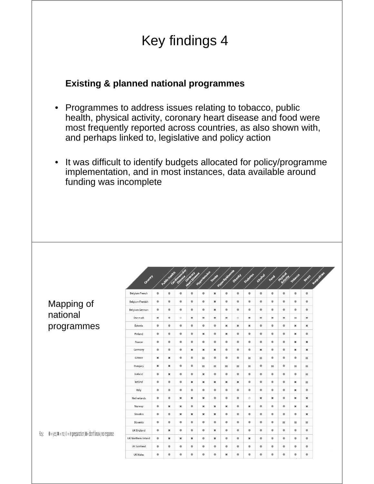## Key find dings 4

#### **Existing & planned national programmes**

- Programmes to address issues relating to tobacco, public health, physical activity, coronary heart disease and food were most frequently reported across countries, as also shown with, and perhaps linked to, legislative and policy action
- It was difficult to identify budgets allocated for policy/programme implementation, and in most instances, data available around funding was incomplete

|                                                                                                                                 | Country             |           | Public Highway of the Castle of the County of |                |                          | <b>Hypertension</b>   | Stroke         | Hygenopaenie   | Obesty                  | Diabetes       | Arcono                   | Food      | Physical       | Tobacco        | Inequalities<br>Stress   |
|---------------------------------------------------------------------------------------------------------------------------------|---------------------|-----------|-----------------------------------------------|----------------|--------------------------|-----------------------|----------------|----------------|-------------------------|----------------|--------------------------|-----------|----------------|----------------|--------------------------|
|                                                                                                                                 | Belgium French      | ۰         | $\bullet$                                     | ۰              | $\bullet$                | $\bullet$             | $\ast$         | $\bullet$      | $\bullet$               | ۰              | $\bullet$                | ۰         | $\bullet$      | ۰              | $\bullet$                |
| Mapping of                                                                                                                      | Belgium Flemish     | ۰         | ۰                                             | ۰              | $\bullet$                | $\bullet$             | $\ast$         | ۰              | $\bullet$               | ۰              | ۰                        | ۰         | ۰              | ۰              | $\bullet$                |
|                                                                                                                                 | Belgium German      | ۰         | ۰                                             | ۰              | $\bullet$                | $\bullet$             | ×              | $\bullet$      | $\bullet$               | ۰              | $\bullet$                | ۰         | ۰              | ۰              | $\bullet$                |
| national                                                                                                                        | Denmark             | $\ast$    | ۰                                             | $\circ$        | $\boldsymbol{\varkappa}$ | $\pmb{\times}$        | ×              | $\ast$         | $\circ$                 | $\star$        | $\boldsymbol{\varkappa}$ | $\star$   | $\pmb{\times}$ | ш              | $\ast$                   |
| programmes                                                                                                                      | Estonia             | ۰         | $\bullet$                                     | ۰              | $\bullet$                | $\bullet$             | $\bullet$      | ×              | ×                       | ×              | $\bullet$                | ۰         | $\bullet$      | $\pmb{\times}$ | ×                        |
|                                                                                                                                 | Finland             | ۰         | $\qquad \qquad \bullet$                       | ۰              | $\qquad \qquad \bullet$  | $\pmb{\times}$        | $\bullet$      | ×              | $\bullet$               | ۰              | $\bullet$                | ۰         | $\bullet$      | $\pmb{\times}$ | $\bullet$                |
|                                                                                                                                 | France              | $\bullet$ | $\bullet$                                     | ۰              | $\bullet$                | $\bullet$             | $\bullet$      | $\bullet$      | $\bullet$               | ۰              | $\bullet$                | $\bullet$ | $\bullet$      | $\pmb{\times}$ | $\pmb{\times}$           |
|                                                                                                                                 | Germany             | $\bullet$ | $\bullet$                                     | ۰              | $\pmb{\times}$           | $\ast$                | ×              | $\bullet$      | $\bullet$               | ۰              | $\ast$                   | ۰         | $\bullet$      | $\pmb{\times}$ | $\ast$                   |
|                                                                                                                                 | Greece              | $\ast$    | $\pmb{\times}$                                | ۰              | $\bullet$                | ш                     | ۰              | ۰              | ۰                       | ш              | ш                        | ۰         | ۰              | ۰              | ш                        |
|                                                                                                                                 | Hungary             | $\ast$    | $\mathbf{x}$                                  | ۰              | $\bullet$                | ш                     | ш              | ш              |                         | ш              | $\bullet$                | ш         | ۰              | ш              | ш                        |
|                                                                                                                                 | Iceland             | ۰         | $\pmb{\times}$                                | ۰              | ۰                        | $\ast$                | $\bullet$      | ۰              | $\bullet$               | ۰              | ۰                        | ۰         | ۰              | ۰              | m.                       |
|                                                                                                                                 | Ireland             | ۰         | ۰                                             | ۰              | $\pmb{\times}$           | ×                     | ×              | $\pmb{\times}$ | ×                       | ۰              | ۰                        | ۰         | ۰              | $\pmb{\times}$ | ш                        |
|                                                                                                                                 | Italy               | $\bullet$ | $\bullet$                                     | $\bullet$      | $\bullet$                | $\bullet$             | $\bullet$      | $\bullet$      | $\bullet$               | ۰              | $\bullet$                | $\bullet$ | $\bullet$      | $\pmb{\times}$ | $\bullet$                |
|                                                                                                                                 | Netherlands         | $\bullet$ | $\bullet$                                     | $\pmb{\times}$ | $\pmb{\times}$           | $\pmb{\times}$        | $\bullet$      | $\bullet$      | $\bullet$               | O              | ×                        | ×         | $\bullet$      | $\pmb{\times}$ | $\pmb{\times}$           |
|                                                                                                                                 | Norway              | ۰         | $\mathbf{x}$                                  | $\mathbf{x}$   | $\bullet$                | $\boldsymbol{\times}$ | $\mathbf{x}$   | $\pmb{\times}$ | $\qquad \qquad \bullet$ | $\pmb{\times}$ | $\bullet$                | $\bullet$ | ۰              | $\pmb{\times}$ | $\boldsymbol{\varkappa}$ |
|                                                                                                                                 | Slovakia            | ۰         | $\bullet$                                     | $\ast$         | $\pmb{\times}$           | $\ast$                | $\ast$         | $\bullet$      | $\bullet$               | ۰              | $\bullet$                | ۰         | $\bullet$      | ۰              | $\ast$                   |
|                                                                                                                                 | Slovenia            | $\bullet$ | $\bullet$                                     | ۰              | $\bullet$                | $\bullet$             | $\bullet$      | $\bullet$      | $\bullet$               | ۰              | $\bullet$                | ۰         | ٠              | ш              | ш                        |
| Key: $\qquad \bullet = \text{yes}; \star = \text{no}; 0 = \text{in preparation}; \blacksquare = \text{don't know, no response}$ | UK England          | ۰         | ×                                             | ۰              | $\bullet$                | $\bullet$             | $\ast$         | ۰              | $\bullet$               | ۰              | ۰                        | ۰         | ۰              | ۰              | $\bullet$                |
|                                                                                                                                 | UK Northern Ireland | $\bullet$ | $\pmb{\times}$                                | $\pmb{\times}$ | $\pmb{\times}$           | $\bullet$             | $\pmb{\times}$ | $\bullet$      | $\bullet$               | ×              | $\bullet$                | ۰         | $\bullet$      | ۰              | $\bullet$                |
|                                                                                                                                 | UK Scotland         | $\bullet$ | ۰                                             | ۰              | ۰                        | $\bullet$             | $\bullet$      | ۰              | $\bullet$               | ۰              | ۰                        | ۰         | ۰              | ۰              | ۰                        |
|                                                                                                                                 | UK Wales            | $\bullet$ | $\bullet$                                     | ۰              | $\bullet$                | $\bullet$             | $\bullet$      | ×              | $\bullet$               | ۰              | $\bullet$                | ۰         | $\bullet$      | $\bullet$      | $\bullet$                |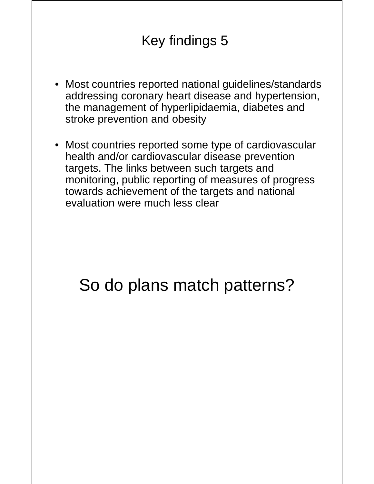## Key find dings 5

- Most countries reported national guidelines/standards addressing coronary heart disease and hypertension, the management of hyperlipidaemia, diabetes and stroke prevention and obesity
- Most countries reported s ome type of cardiovascular health and/or cardiovascular disease prevention targets. The links between such targets and monitoring, public reporting of measures of progress towards achievement of the targets and national evaluation were much les s clear

# So do plans match patterns?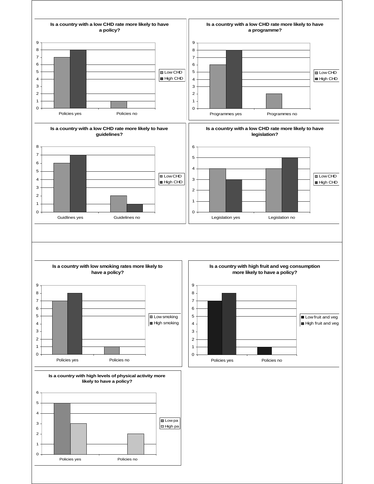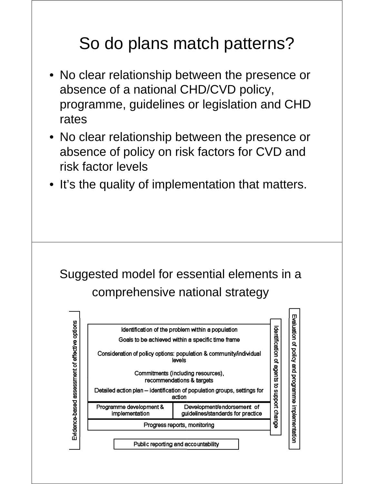# So do plans match patterns?

- No clear relationship between the presence or absence of a national CHD/CVD policy, programme, guidelines or legislation and CHD rates
- No clear relationship between the presence or absence of policy on risk factors for CVD and risk factor levels
- It's the quality of implementation that matters.

### Suggested model for es ssential elements in a comprehensive national strategy